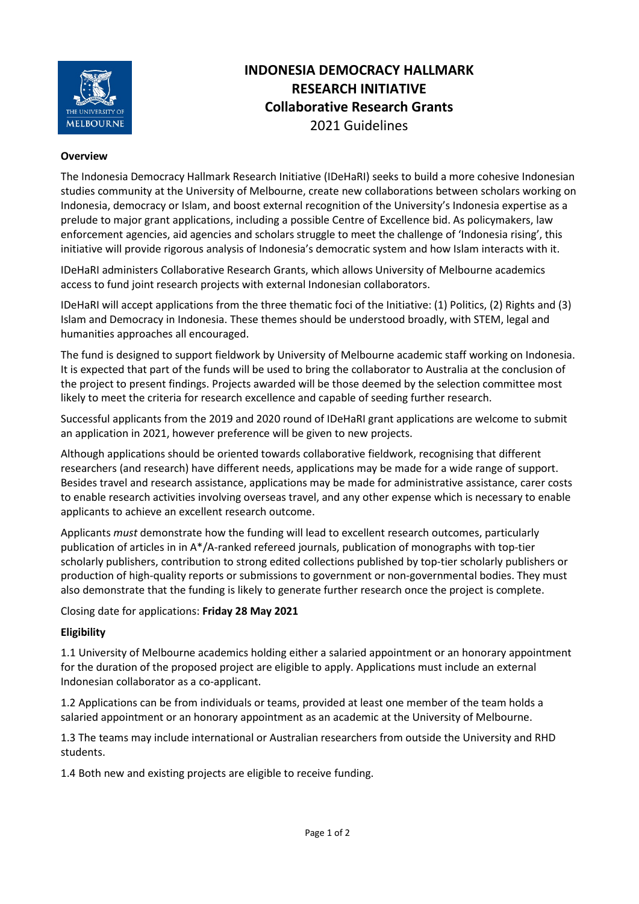

# **INDONESIA DEMOCRACY HALLMARK RESEARCH INITIATIVE Collaborative Research Grants** 2021 Guidelines

### **Overview**

The Indonesia Democracy Hallmark Research Initiative (IDeHaRI) seeks to build a more cohesive Indonesian studies community at the University of Melbourne, create new collaborations between scholars working on Indonesia, democracy or Islam, and boost external recognition of the University's Indonesia expertise as a prelude to major grant applications, including a possible Centre of Excellence bid. As policymakers, law enforcement agencies, aid agencies and scholars struggle to meet the challenge of 'Indonesia rising', this initiative will provide rigorous analysis of Indonesia's democratic system and how Islam interacts with it.

IDeHaRI administers Collaborative Research Grants, which allows University of Melbourne academics access to fund joint research projects with external Indonesian collaborators.

IDeHaRI will accept applications from the three thematic foci of the Initiative: (1) Politics, (2) Rights and (3) Islam and Democracy in Indonesia. These themes should be understood broadly, with STEM, legal and humanities approaches all encouraged.

The fund is designed to support fieldwork by University of Melbourne academic staff working on Indonesia. It is expected that part of the funds will be used to bring the collaborator to Australia at the conclusion of the project to present findings. Projects awarded will be those deemed by the selection committee most likely to meet the criteria for research excellence and capable of seeding further research.

Successful applicants from the 2019 and 2020 round of IDeHaRI grant applications are welcome to submit an application in 2021, however preference will be given to new projects.

Although applications should be oriented towards collaborative fieldwork, recognising that different researchers (and research) have different needs, applications may be made for a wide range of support. Besides travel and research assistance, applications may be made for administrative assistance, carer costs to enable research activities involving overseas travel, and any other expense which is necessary to enable applicants to achieve an excellent research outcome.

Applicants *must* demonstrate how the funding will lead to excellent research outcomes, particularly publication of articles in in A\*/A-ranked refereed journals, publication of monographs with top-tier scholarly publishers, contribution to strong edited collections published by top-tier scholarly publishers or production of high-quality reports or submissions to government or non-governmental bodies. They must also demonstrate that the funding is likely to generate further research once the project is complete.

Closing date for applications: **Friday 28 May 2021**

### **Eligibility**

1.1 University of Melbourne academics holding either a salaried appointment or an honorary appointment for the duration of the proposed project are eligible to apply. Applications must include an external Indonesian collaborator as a co-applicant.

1.2 Applications can be from individuals or teams, provided at least one member of the team holds a salaried appointment or an honorary appointment as an academic at the University of Melbourne.

1.3 The teams may include international or Australian researchers from outside the University and RHD students.

1.4 Both new and existing projects are eligible to receive funding.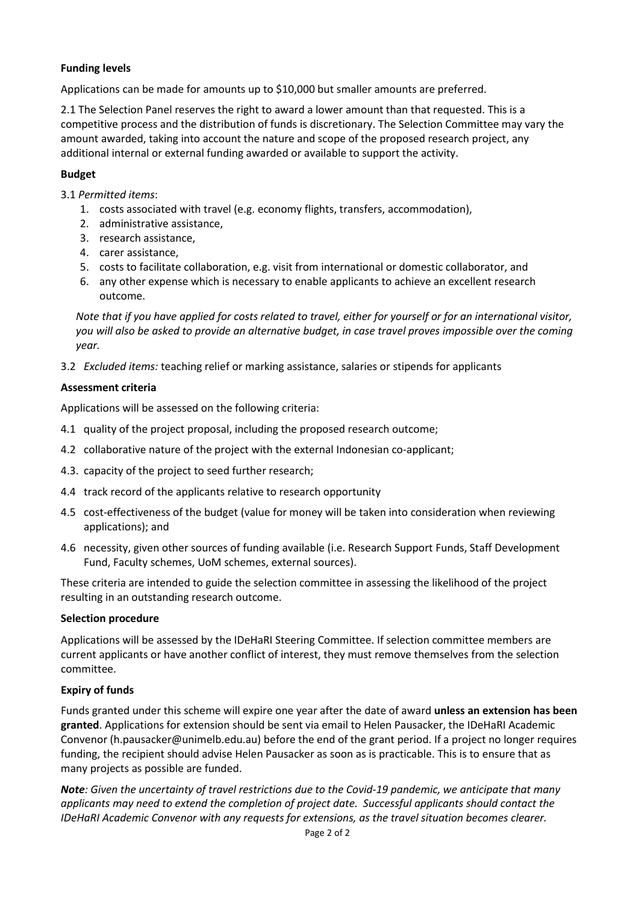# **Funding levels**

Applications can be made for amounts up to \$10,000 but smaller amounts are preferred.

2.1 The Selection Panel reserves the right to award a lower amount than that requested. This is a competitive process and the distribution of funds is discretionary. The Selection Committee may vary the amount awarded, taking into account the nature and scope of the proposed research project, any additional internal or external funding awarded or available to support the activity.

## **Budget**

3.1 *Permitted items*:

- 1. costs associated with travel (e.g. economy flights, transfers, accommodation),
- 2. administrative assistance,
- 3. research assistance,
- 4. carer assistance,
- 5. costs to facilitate collaboration, e.g. visit from international or domestic collaborator, and
- 6. any other expense which is necessary to enable applicants to achieve an excellent research outcome.

*Note that if you have applied for costs related to travel, either for yourself or for an international visitor, you will also be asked to provide an alternative budget, in case travel proves impossible over the coming year.*

3.2 *Excluded items:* teaching relief or marking assistance, salaries or stipends for applicants

# **Assessment criteria**

Applications will be assessed on the following criteria:

- 4.1 quality of the project proposal, including the proposed research outcome;
- 4.2 collaborative nature of the project with the external Indonesian co-applicant;
- 4.3. capacity of the project to seed further research;
- 4.4 track record of the applicants relative to research opportunity
- 4.5 cost-effectiveness of the budget (value for money will be taken into consideration when reviewing applications); and
- 4.6 necessity, given other sources of funding available (i.e. Research Support Funds, Staff Development Fund, Faculty schemes, UoM schemes, external sources).

These criteria are intended to guide the selection committee in assessing the likelihood of the project resulting in an outstanding research outcome.

# **Selection procedure**

Applications will be assessed by the IDeHaRI Steering Committee. If selection committee members are current applicants or have another conflict of interest, they must remove themselves from the selection committee.

# **Expiry of funds**

Funds granted under this scheme will expire one year after the date of award **unless an extension has been granted**. Applications for extension should be sent via email to Helen Pausacker, the IDeHaRI Academic Convenor (h.pausacker@unimelb.edu.au) before the end of the grant period. If a project no longer requires funding, the recipient should advise Helen Pausacker as soon as is practicable. This is to ensure that as many projects as possible are funded.

*Note: Given the uncertainty of travel restrictions due to the Covid-19 pandemic, we anticipate that many applicants may need to extend the completion of project date. Successful applicants should contact the IDeHaRI Academic Convenor with any requests for extensions, as the travel situation becomes clearer.*